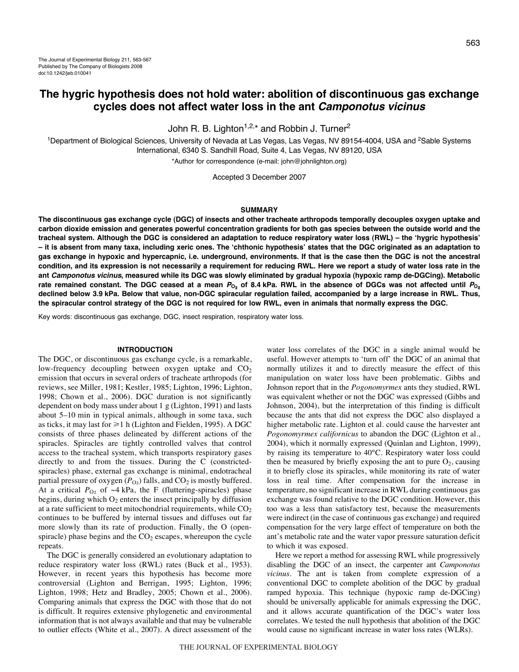John R. B. Lighton<sup>1,2,\*</sup> and Robbin J. Turner<sup>2</sup>

<sup>1</sup>Department of Biological Sciences, University of Nevada at Las Vegas, Las Vegas, NV 89154-4004, USA and <sup>2</sup>Sable Systems International, 6340 S. Sandhill Road, Suite 4, Las Vegas, NV 89120, USA

\*Author for correspondence (e-mail: john@johnlighton.org)

Accepted 3 December 2007

## **SUMMARY**

**The discontinuous gas exchange cycle (DGC) of insects and other tracheate arthropods temporally decouples oxygen uptake and carbon dioxide emission and generates powerful concentration gradients for both gas species between the outside world and the tracheal system. Although the DGC is considered an adaptation to reduce respiratory water loss (RWL) – the ʻhygric hypothesis' – it is absent from many taxa, including xeric ones. The ʻchthonic hypothesis' states that the DGC originated as an adaptation to gas exchange in hypoxic and hypercapnic, i.e. underground, environments. If that is the case then the DGC is not the ancestral condition, and its expression is not necessarily a requirement for reducing RWL. Here we report a study of water loss rate in the ant Camponotus vicinus, measured while its DGC was slowly eliminated by gradual hypoxia (hypoxic ramp de-DGCing). Metabolic** rate remained constant. The DGC ceased at a mean  $P_{O_2}$  of 8.4 kPa. RWL in the absence of DGCs was not affected until  $P_{O_2}$ **declined below 3.9·kPa. Below that value, non-DGC spiracular regulation failed, accompanied by a large increase in RWL. Thus, the spiracular control strategy of the DGC is not required for low RWL, even in animals that normally express the DGC.**

Key words: discontinuous gas exchange, DGC, insect respiration, respiratory water loss.

# **INTRODUCTION**

The DGC, or discontinuous gas exchange cycle, is a remarkable, low-frequency decoupling between oxygen uptake and  $CO<sub>2</sub>$ emission that occurs in several orders of tracheate arthropods (for reviews, see Miller, 1981; Kestler, 1985; Lighton, 1996; Lighton, 1998; Chown et al., 2006). DGC duration is not significantly dependent on body mass under about 1 g (Lighton, 1991) and lasts about 5-10 min in typical animals, although in some taxa, such as ticks, it may last for  $\geq 1$  h (Lighton and Fielden, 1995). A DGC consists of three phases delineated by different actions of the spiracles. Spiracles are tightly controlled valves that control access to the tracheal system, which transports respiratory gases directly to and from the tissues. During the C (constrictedspiracles) phase, external gas exchange is minimal, endotracheal partial pressure of oxygen  $(P<sub>O2</sub>)$  falls, and  $CO<sub>2</sub>$  is mostly buffered. At a critical  $P_{Q_2}$  of  $\sim$ 4 kPa, the F (fluttering-spiracles) phase begins, during which  $O_2$  enters the insect principally by diffusion at a rate sufficient to meet mitochondrial requirements, while  $CO<sub>2</sub>$ continues to be buffered by internal tissues and diffuses out far more slowly than its rate of production. Finally, the O (openspiracle) phase begins and the  $CO<sub>2</sub>$  escapes, whereupon the cycle repeats.

The DGC is generally considered an evolutionary adaptation to reduce respiratory water loss (RWL) rates (Buck et al., 1953). However, in recent years this hypothesis has become more controversial (Lighton and Berrigan, 1995; Lighton, 1996; Lighton, 1998; Hetz and Bradley, 2005; Chown et al., 2006). Comparing animals that express the DGC with those that do not is difficult. It requires extensive phylogenetic and environmental information that is not always available and that may be vulnerable to outlier effects (White et al., 2007). A direct assessment of the

water loss correlates of the DGC in a single animal would be useful. However attempts to 'turn off' the DGC of an animal that normally utilizes it and to directly measure the effect of this manipulation on water loss have been problematic. Gibbs and Johnson report that in the *Pogonomyrmex* ants they studied, RWL was equivalent whether or not the DGC was expressed (Gibbs and Johnson, 2004), but the interpretation of this finding is difficult because the ants that did not express the DGC also displayed a higher metabolic rate. Lighton et al. could cause the harvester ant *Pogonomyrmex californicus* to abandon the DGC (Lighton et al., 2004), which it normally expressed (Quinlan and Lighton, 1999), by raising its temperature to 40°C. Respiratory water loss could then be measured by briefly exposing the ant to pure  $O_2$ , causing it to briefly close its spiracles, while monitoring its rate of water loss in real time. After compensation for the increase in temperature, no significant increase in RWL during continuous gas exchange was found relative to the DGC condition. However, this too was a less than satisfactory test, because the measurements were indirect (in the case of continuous gas exchange) and required compensation for the very large effect of temperature on both the ant's metabolic rate and the water vapor pressure saturation deficit to which it was exposed.

Here we report a method for assessing RWL while progressively disabling the DGC of an insect, the carpenter ant *Camponotus vicinus*. The ant is taken from complete expression of a conventional DGC to complete abolition of the DGC by gradual ramped hypoxia. This technique (hypoxic ramp de-DGCing) should be universally applicable for animals expressing the DGC, and it allows accurate quantification of the DGC's water loss correlates. We tested the null hypothesis that abolition of the DGC would cause no significant increase in water loss rates (WLRs).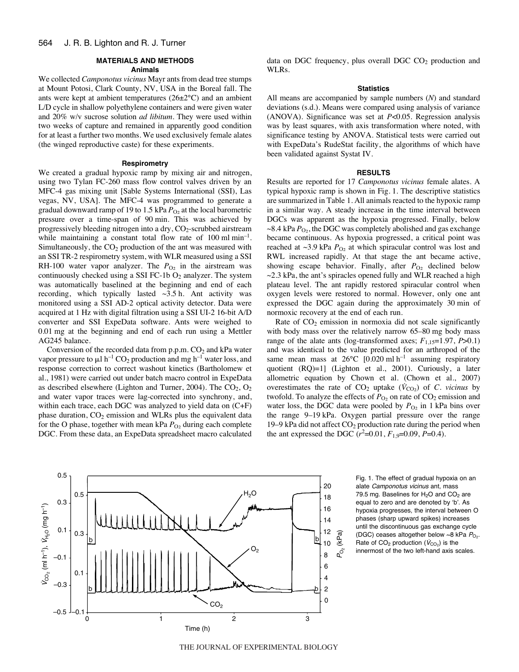## **MATERIALS AND METHODS**

## **Animals**

We collected *Camponotus vicinus* Mayr ants from dead tree stumps at Mount Potosi, Clark County, NV, USA in the Boreal fall. The ants were kept at ambient temperatures (26±2°C) and an ambient L/D cycle in shallow polyethylene containers and were given water and 20% w/v sucrose solution *ad libitum*. They were used within two weeks of capture and remained in apparently good condition for at least a further two months. We used exclusively female alates (the winged reproductive caste) for these experiments.

#### **Respirometry**

We created a gradual hypoxic ramp by mixing air and nitrogen, using two Tylan FC-260 mass flow control valves driven by an MFC-4 gas mixing unit [Sable Systems International (SSI), Las vegas, NV, USA]. The MFC-4 was programmed to generate a gradual downward ramp of 19 to 1.5 kPa  $P_{O_2}$  at the local barometric pressure over a time-span of 90 min. This was achieved by progressively bleeding nitrogen into a dry, CO<sub>2</sub>-scrubbed airstream while maintaining a constant total flow rate of  $100 \text{ ml min}^{-1}$ . Simultaneously, the  $CO<sub>2</sub>$  production of the ant was measured with an SSI TR-2 respirometry system, with WLR measured using a SSI RH-100 water vapor analyzer. The  $P_{\text{O}_2}$  in the airstream was continuously checked using a SSI FC-1b  $O_2$  analyzer. The system was automatically baselined at the beginning and end of each recording, which typically lasted  $\sim$ 3.5 h. Ant activity was monitored using a SSI AD-2 optical activity detector. Data were acquired at 1 Hz with digital filtration using a SSI UI-2 16-bit A/D converter and SSI ExpeData software. Ants were weighed to 0.01 mg at the beginning and end of each run using a Mettler AG245 balance.

Conversion of the recorded data from  $p.p.m. CO<sub>2</sub>$  and kPa water vapor pressure to  $\mu$ l h<sup>-1</sup> CO<sub>2</sub> production and mg h<sup>-1</sup> water loss, and response correction to correct washout kinetics (Bartholomew et al., 1981) were carried out under batch macro control in ExpeData as described elsewhere (Lighton and Turner, 2004). The  $CO<sub>2</sub>$ ,  $O<sub>2</sub>$ and water vapor traces were lag-corrected into synchrony, and, within each trace, each DGC was analyzed to yield data on (C+F) phase duration,  $CO<sub>2</sub>$  emission and WLRs plus the equivalent data for the O phase, together with mean kPa  $P_{\text{O}_2}$  during each complete DGC. From these data, an ExpeData spreadsheet macro calculated data on DGC frequency, plus overall DGC  $CO<sub>2</sub>$  production and WLRs.

### **Statistics**

All means are accompanied by sample numbers (*N*) and standard deviations (s.d.). Means were compared using analysis of variance (ANOVA). Significance was set at *P*<0.05. Regression analysis was by least squares, with axis transformation where noted, with significance testing by ANOVA. Statistical tests were carried out with ExpeData's RudeStat facility, the algorithms of which have been validated against Systat IV.

## **RESULTS**

Results are reported for 17 *Camponotus vicinus* female alates. A typical hypoxic ramp is shown in Fig. 1. The descriptive statistics are summarized in Table 1. All animals reacted to the hypoxic ramp in a similar way. A steady increase in the time interval between DGCs was apparent as the hypoxia progressed. Finally, below  $\sim$ 8.4 kPa  $P_{\text{O}_2}$ , the DGC was completely abolished and gas exchange became continuous. As hypoxia progressed, a critical point was reached at  $\sim$ 3.9 kPa  $P_{O_2}$  at which spiracular control was lost and RWL increased rapidly. At that stage the ant became active, showing escape behavior. Finally, after  $P_{\text{O}_2}$  declined below  $\sim$ 2.3 kPa, the ant's spiracles opened fully and WLR reached a high plateau level. The ant rapidly restored spiracular control when oxygen levels were restored to normal. However, only one ant expressed the DGC again during the approximately 30 min of normoxic recovery at the end of each run.

Rate of  $CO<sub>2</sub>$  emission in normoxia did not scale significantly with body mass over the relatively narrow 65–80 mg body mass range of the alate ants (log-transformed axes; *F*1,15=1.97, *P*>0.1) and was identical to the value predicted for an arthropod of the same mean mass at  $26^{\circ}$ C [0.020 ml h<sup>-1</sup> assuming respiratory quotient (RQ)=1] (Lighton et al., 2001). Curiously, a later allometric equation by Chown et al. (Chown et al., 2007) overestimates the rate of  $CO_2$  uptake  $(\dot{V}_{CO_2})$  of *C. vicinus* by twofold. To analyze the effects of  $P_{\text{O}_2}$  on rate of  $\text{CO}_2$  emission and water loss, the DGC data were pooled by  $P_{O_2}$  in 1 kPa bins over the range 9-19 kPa. Oxygen partial pressure over the range 19–9 kPa did not affect  $CO_2$  production rate during the period when the ant expressed the DGC  $(r^2=0.01, F_{1,9}=0.09, P=0.4)$ .



Fig. 1. The effect of gradual hypoxia on an alate Camponotus vicinus ant, mass 79.5 mg. Baselines for  $H<sub>2</sub>O$  and  $CO<sub>2</sub>$  are equal to zero and are denoted by ʻb'. As hypoxia progresses, the interval between O phases (sharp upward spikes) increases until the discontinuous gas exchange cycle (DGC) ceases altogether below  $\sim$ 8 kPa  $P_{\text{O}_2}$ . Rate of  $CO<sub>2</sub>$  production ( $\dot{V}_{CO_2}$ ) is the innermost of the two left-hand axis scales.

THE JOURNAL OF EXPERIMENTAL BIOLOGY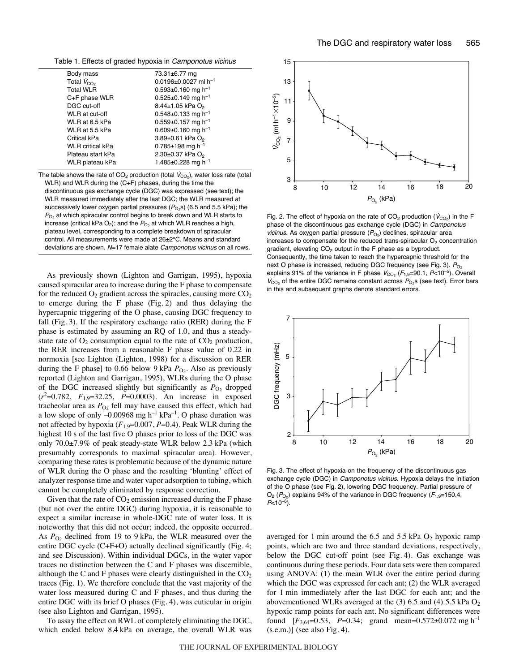Table 1. Effects of graded hypoxia in Camponotus vicinus

| Body mass               | 73.31±6.77 mg                          |
|-------------------------|----------------------------------------|
| Total $V_{CO2}$         | $0.0196 \pm 0.0027$ ml h <sup>-1</sup> |
| <b>Total WLR</b>        | $0.593 \pm 0.160$ mg h <sup>-1</sup>   |
| C+F phase WLR           | $0.525 \pm 0.149$ mg h <sup>-1</sup>   |
| DGC cut-off             | 8.44±1.05 kPa O <sub>2</sub>           |
| WLR at cut-off          | $0.548 \pm 0.133$ mg h <sup>-1</sup>   |
| WLR at 6.5 kPa          | $0.559 \pm 0.157$ mg h <sup>-1</sup>   |
| WLR at 5.5 kPa          | $0.609 \pm 0.160$ mg h <sup>-1</sup>   |
| Critical kPa            | 3.89±0.61 kPa O <sub>2</sub>           |
| <b>WLR</b> critical kPa | 0.785 $\pm$ 198 mg h <sup>-1</sup>     |
| Plateau start kPa       | 2.30±0.37 kPa O <sub>2</sub>           |
| WLR plateau kPa         | 1.485±0.228 mg h <sup>-1</sup>         |
|                         |                                        |

The table shows the rate of  $CO<sub>2</sub>$  production (total  $\dot{V}_{CO<sub>2</sub>}$ ), water loss rate (total WLR) and WLR during the (C+F) phases, during the time the discontinuous gas exchange cycle (DGC) was expressed (see text); the WLR measured immediately after the last DGC; the WLR measured at successively lower oxygen partial pressures  $(P<sub>O<sub>2</sub></sub>s)$  (6.5 and 5.5 kPa); the  $P_{O_2}$  at which spiracular control begins to break down and WLR starts to increase (critical kPa  $O_2$ ); and the  $P_{O_2}$  at which WLR reaches a high, plateau level, corresponding to a complete breakdown of spiracular control. All measurements were made at 26±2°C. Means and standard deviations are shown. N=17 female alate Camponotus vicinus on all rows.

As previously shown (Lighton and Garrigan, 1995), hypoxia caused spiracular area to increase during the F phase to compensate for the reduced  $O_2$  gradient across the spiracles, causing more  $CO_2$ to emerge during the  $F$  phase (Fig. 2) and thus delaying the hypercapnic triggering of the O phase, causing DGC frequency to fall (Fig. 3). If the respiratory exchange ratio (RER) during the  $F$ phase is estimated by assuming an RQ of 1.0, and thus a steadystate rate of  $O_2$  consumption equal to the rate of  $CO_2$  production, the RER increases from a reasonable F phase value of 0.22 in normoxia [see Lighton (Lighton, 1998) for a discussion on RER during the F phase] to 0.66 below 9 kPa  $P_{\text{O}_2}$ . Also as previously reported (Lighton and Garrigan, 1995), WLRs during the O phase of the DGC increased slightly but significantly as  $P_{O_2}$  dropped (*r*2 =0.782, *F*1,9=32.25, *P*=0.0003). An increase in exposed tracheolar area as  $P_{O_2}$  fell may have caused this effect, which had a low slope of only  $-0.00968$  mg h<sup>-1</sup> kPa<sup>-1</sup>. O phase duration was not affected by hypoxia (*F*1,9=0.007, *P*=0.4). Peak WLR during the highest 10 s of the last five O phases prior to loss of the DGC was only  $70.0\pm7.9\%$  of peak steady-state WLR below 2.3 kPa (which presumably corresponds to maximal spiracular area). However, comparing these rates is problematic because of the dynamic nature of WLR during the O phase and the resulting 'blunting' effect of analyzer response time and water vapor adsorption to tubing, which cannot be completely eliminated by response correction.

Given that the rate of  $CO<sub>2</sub>$  emission increased during the F phase (but not over the entire DGC) during hypoxia, it is reasonable to expect a similar increase in whole-DGC rate of water loss. It is noteworthy that this did not occur; indeed, the opposite occurred. As  $P_{\text{O}_2}$  declined from 19 to 9 kPa, the WLR measured over the entire DGC cycle  $(C+F+O)$  actually declined significantly (Fig. 4; and see Discussion). Within individual DGCs, in the water vapor traces no distinction between the C and F phases was discernible, although the C and F phases were clearly distinguished in the  $CO<sub>2</sub>$ traces (Fig. 1). We therefore conclude that the vast majority of the water loss measured during C and F phases, and thus during the entire DGC with its brief O phases (Fig. 4), was cuticular in origin (see also Lighton and Garrigan, 1995).

To assay the effect on RWL of completely eliminating the DGC, which ended below 8.4 kPa on average, the overall WLR was



Fig. 2. The effect of hypoxia on the rate of  $CO_2$  production ( $\dot{V}_{CO_2}$ ) in the F phase of the discontinuous gas exchange cycle (DGC) in Camponotus vicinus. As oxygen partial pressure  $(P_{O_2})$  declines, spiracular area increases to compensate for the reduced trans-spiracular  $O<sub>2</sub>$  concentration gradient, elevating  $CO<sub>2</sub>$  output in the F phase as a byproduct. Consequently, the time taken to reach the hypercapnic threshold for the next O phase is increased, reducing DGC frequency (see Fig. 3).  $P_{O_2}$ explains 91% of the variance in F phase  $V_{CO_2}$  ( $F_{1,9}=90.1$ ,  $P<10^{-5}$ ). Overall  $V_{\text{CO}_2}$  of the entire DGC remains constant across  $P_{\text{O}_2}$ s (see text). Error bars in this and subsequent graphs denote standard errors.



Fig. 3. The effect of hypoxia on the frequency of the discontinuous gas exchange cycle (DGC) in Camponotus vicinus. Hypoxia delays the initiation of the O phase (see Fig. 2), lowering DGC frequency. Partial pressure of  $O_2$  ( $P_{O_2}$ ) explains 94% of the variance in DGC frequency ( $F_{1,9}=150.4$ ,  $P<10^{-6}$ ).

averaged for 1 min around the 6.5 and 5.5 kPa  $O_2$  hypoxic ramp points, which are two and three standard deviations, respectively, below the DGC cut-off point (see Fig. 4). Gas exchange was continuous during these periods. Four data sets were then compared using ANOVA: (1) the mean WLR over the entire period during which the DGC was expressed for each ant; (2) the WLR averaged for 1 min immediately after the last DGC for each ant; and the abovementioned WLRs averaged at the  $(3)$  6.5 and  $(4)$  5.5 kPa  $O<sub>2</sub>$ hypoxic ramp points for each ant. No significant differences were found  $[F_{3,64}=0.53, P=0.34; grand mean=0.572\pm0.072$  mg h<sup>-1</sup>  $(s.e.m.)$ ] (see also Fig. 4).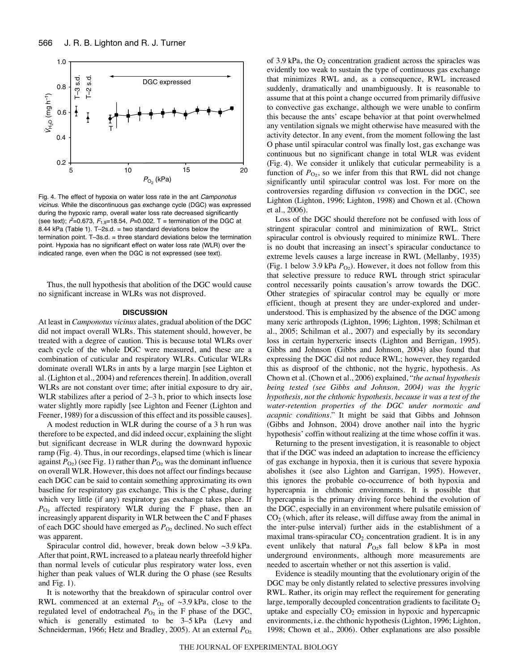

Fig. 4. The effect of hypoxia on water loss rate in the ant Camponotus vicinus. While the discontinuous gas exchange cycle (DGC) was expressed during the hypoxic ramp, overall water loss rate decreased significantly (see text);  $r^2 = 0.673$ ,  $F_{1,9} = 18.54$ ,  $P = 0.002$ . T = termination of the DGC at 8.44 kPa (Table 1). T-2s.d. = two standard deviations below the termination point. T–3s.d. = three standard deviations below the termination point. Hypoxia has no significant effect on water loss rate (WLR) over the indicated range, even when the DGC is not expressed (see text).

Thus, the null hypothesis that abolition of the DGC would cause no significant increase in WLRs was not disproved.

## **DISCUSSION**

At least in *Camponotus vicinus* alates, gradual abolition of the DGC did not impact overall WLRs. This statement should, however, be treated with a degree of caution. This is because total WLRs over each cycle of the whole DGC were measured, and these are a combination of cuticular and respiratory WLRs. Cuticular WLRs dominate overall WLRs in ants by a large margin [see Lighton et al. (Lighton et al., 2004) and references therein]. In addition, overall WLRs are not constant over time; after initial exposure to dry air, WLR stabilizes after a period of  $2-3$  h, prior to which insects lose water slightly more rapidly [see Lighton and Feener (Lighton and Feener, 1989) for a discussion of this effect and its possible causes].

A modest reduction in WLR during the course of a 3 h run was therefore to be expected, and did indeed occur, explaining the slight but significant decrease in WLR during the downward hypoxic ramp (Fig. 4). Thus, in our recordings, elapsed time (which is linear against  $P_{O_2}$ ) (see Fig. 1) rather than  $P_{O_2}$  was the dominant influence on overall WLR. However, this does not affect our findings because each DGC can be said to contain something approximating its own baseline for respiratory gas exchange. This is the C phase, during which very little (if any) respiratory gas exchange takes place. If *P*O2 affected respiratory WLR during the F phase, then an increasingly apparent disparity in WLR between the C and F phases of each DGC should have emerged as  $P_{O_2}$  declined. No such effect was apparent.

Spiracular control did, however, break down below  $\sim$ 3.9 kPa. After that point, RWL increased to a plateau nearly threefold higher than normal levels of cuticular plus respiratory water loss, even higher than peak values of WLR during the O phase (see Results and Fig.  $1$ ).

It is noteworthy that the breakdown of spiracular control over RWL commenced at an external  $P_{\text{O}_2}$  of ~3.9 kPa, close to the regulated level of endotracheal  $P_{O_2}$  in the F phase of the DGC, which is generally estimated to be  $3-5$  kPa (Levy and Schneiderman, 1966; Hetz and Bradley, 2005). At an external  $P_{O2}$  of 3.9 kPa, the  $O_2$  concentration gradient across the spiracles was evidently too weak to sustain the type of continuous gas exchange that minimizes RWL and, as a consequence, RWL increased suddenly, dramatically and unambiguously. It is reasonable to assume that at this point a change occurred from primarily diffusive to convective gas exchange, although we were unable to confirm this because the ants' escape behavior at that point overwhelmed any ventilation signals we might otherwise have measured with the activity detector. In any event, from the moment following the last O phase until spiracular control was finally lost, gas exchange was continuous but no significant change in total WLR was evident (Fig. 4). We consider it unlikely that cuticular permeability is a function of  $P_{\text{O}_2}$ , so we infer from this that RWL did not change significantly until spiracular control was lost. For more on the controversies regarding diffusion *vs* convection in the DGC, see Lighton (Lighton, 1996; Lighton, 1998) and Chown et al. (Chown et al., 2006).

Loss of the DGC should therefore not be confused with loss of stringent spiracular control and minimization of RWL. Strict spiracular control is obviously required to minimize RWL. There is no doubt that increasing an insect's spiracular conductance to extreme levels causes a large increase in RWL (Mellanby, 1935) (Fig. 1 below 3.9 kPa  $P_{\text{O}_2}$ ). However, it does not follow from this that selective pressure to reduce RWL through strict spiracular control necessarily points causation's arrow towards the DGC. Other strategies of spiracular control may be equally or more efficient, though at present they are under-explored and underunderstood. This is emphasized by the absence of the DGC among many xeric arthropods (Lighton, 1996; Lighton, 1998; Schilman et al., 2005; Schilman et al., 2007) and especially by its secondary loss in certain hyperxeric insects (Lighton and Berrigan, 1995). Gibbs and Johnson (Gibbs and Johnson, 2004) also found that expressing the DGC did not reduce RWL; however, they regarded this as disproof of the chthonic, not the hygric, hypothesis. As Chown et al. (Chown et al., 2006) explained, "*the actual hypothesis being tested (see Gibbs and Johnson, 2004) was the hygric hypothesis, not the chthonic hypothesis, because it was a test of the water-retention properties of the DGC under normoxic and acapnic conditions.*" It might be said that Gibbs and Johnson (Gibbs and Johnson, 2004) drove another nail into the hygric hypothesis' coffin without realizing at the time whose coffin it was.

Returning to the present investigation, it is reasonable to object that if the DGC was indeed an adaptation to increase the efficiency of gas exchange in hypoxia, then it is curious that severe hypoxia abolishes it (see also Lighton and Garrigan, 1995). However, this ignores the probable co-occurrence of both hypoxia and hypercapnia in chthonic environments. It is possible that hypercapnia is the primary driving force behind the evolution of the DGC, especially in an environment where pulsatile emission of  $CO<sub>2</sub>$  (which, after its release, will diffuse away from the animal in the inter-pulse interval) further aids in the establishment of a maximal trans-spiracular  $CO<sub>2</sub>$  concentration gradient. It is in any event unlikely that natural  $P_{\text{O}_2}$ s fall below 8 kPa in most underground environments, although more measurements are needed to ascertain whether or not this assertion is valid.

Evidence is steadily mounting that the evolutionary origin of the DGC may be only distantly related to selective pressures involving RWL. Rather, its origin may reflect the requirement for generating large, temporally decoupled concentration gradients to facilitate  $O<sub>2</sub>$ uptake and especially  $CO<sub>2</sub>$  emission in hypoxic and hypercapnic environments, i.e. the chthonic hypothesis (Lighton, 1996; Lighton, 1998; Chown et al., 2006). Other explanations are also possible